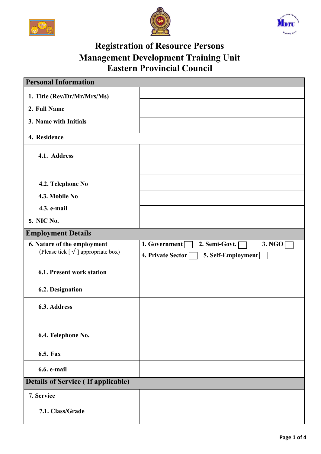





## **Registration of Resource Persons Management Development Training Unit Eastern Provincial Council**

| <b>Personal Information</b>                                                |                                                                                     |
|----------------------------------------------------------------------------|-------------------------------------------------------------------------------------|
| 1. Title (Rev/Dr/Mr/Mrs/Ms)                                                |                                                                                     |
| 2. Full Name                                                               |                                                                                     |
| 3. Name with Initials                                                      |                                                                                     |
| 4. Residence                                                               |                                                                                     |
| 4.1. Address                                                               |                                                                                     |
| 4.2. Telephone No                                                          |                                                                                     |
| 4.3. Mobile No                                                             |                                                                                     |
| 4.3. e-mail                                                                |                                                                                     |
| <b>5. NIC No.</b>                                                          |                                                                                     |
| <b>Employment Details</b>                                                  |                                                                                     |
| 6. Nature of the employment<br>(Please tick $[\sqrt{\ }]$ appropriate box) | 1. Government<br>2. Semi-Govt.<br>3. NGO<br>4. Private Sector<br>5. Self-Employment |
| <b>6.1. Present work station</b>                                           |                                                                                     |
| <b>6.2. Designation</b>                                                    |                                                                                     |
| 6.3. Address                                                               |                                                                                     |
| 6.4. Telephone No.                                                         |                                                                                     |
| <b>6.5. Fax</b>                                                            |                                                                                     |
| 6.6. e-mail                                                                |                                                                                     |
| <b>Details of Service (If applicable)</b>                                  |                                                                                     |
| 7. Service                                                                 |                                                                                     |
| 7.1. Class/Grade                                                           |                                                                                     |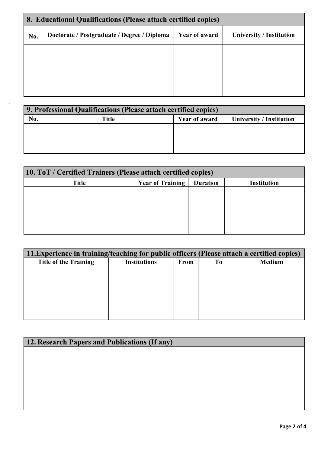| 8. Educational Qualifications (Please attach certified copies) |                                             |                      |                                 |  |  |
|----------------------------------------------------------------|---------------------------------------------|----------------------|---------------------------------|--|--|
| No.                                                            | Doctorate / Postgraduate / Degree / Diploma | <b>Year of award</b> | <b>University / Institution</b> |  |  |
|                                                                |                                             |                      |                                 |  |  |
|                                                                |                                             |                      |                                 |  |  |
|                                                                |                                             |                      |                                 |  |  |
|                                                                |                                             |                      |                                 |  |  |

|     | 9. Professional Qualifications (Please attach certified copies) |               |                                 |  |  |  |
|-----|-----------------------------------------------------------------|---------------|---------------------------------|--|--|--|
| No. | Title                                                           | Year of award | <b>University / Institution</b> |  |  |  |
|     |                                                                 |               |                                 |  |  |  |
|     |                                                                 |               |                                 |  |  |  |
|     |                                                                 |               |                                 |  |  |  |
|     |                                                                 |               |                                 |  |  |  |

| 10. ToT / Certified Trainers (Please attach certified copies) |                 |                    |  |  |  |  |
|---------------------------------------------------------------|-----------------|--------------------|--|--|--|--|
| <b>Year of Training</b>                                       | <b>Duration</b> | <b>Institution</b> |  |  |  |  |
|                                                               |                 |                    |  |  |  |  |
|                                                               |                 |                    |  |  |  |  |
|                                                               |                 |                    |  |  |  |  |
|                                                               |                 |                    |  |  |  |  |
|                                                               |                 |                    |  |  |  |  |
|                                                               |                 |                    |  |  |  |  |

| 11. Experience in training/teaching for public officers (Please attach a certified copies) |                     |      |                |               |  |
|--------------------------------------------------------------------------------------------|---------------------|------|----------------|---------------|--|
| <b>Title of the Training</b>                                                               | <b>Institutions</b> | From | T <sub>0</sub> | <b>Medium</b> |  |
|                                                                                            |                     |      |                |               |  |
|                                                                                            |                     |      |                |               |  |
|                                                                                            |                     |      |                |               |  |
|                                                                                            |                     |      |                |               |  |
|                                                                                            |                     |      |                |               |  |
|                                                                                            |                     |      |                |               |  |
|                                                                                            |                     |      |                |               |  |

| <b>12. Research Papers and Publications (If any)</b> |  |  |  |  |
|------------------------------------------------------|--|--|--|--|
|                                                      |  |  |  |  |
|                                                      |  |  |  |  |
|                                                      |  |  |  |  |
|                                                      |  |  |  |  |
|                                                      |  |  |  |  |
|                                                      |  |  |  |  |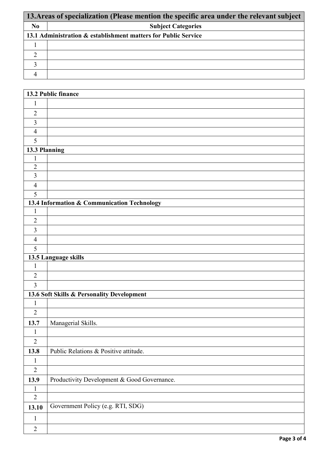|                | 13. Areas of specialization (Please mention the specific area under the relevant subject |  |  |  |  |
|----------------|------------------------------------------------------------------------------------------|--|--|--|--|
| N <sub>0</sub> | <b>Subject Categories</b>                                                                |  |  |  |  |
|                | 13.1 Administration & establishment matters for Public Service                           |  |  |  |  |
|                |                                                                                          |  |  |  |  |
|                |                                                                                          |  |  |  |  |
|                |                                                                                          |  |  |  |  |
|                |                                                                                          |  |  |  |  |

|                | 13.2 Public finance                         |
|----------------|---------------------------------------------|
| $\mathbf{1}$   |                                             |
| $\overline{2}$ |                                             |
| $\mathfrak{Z}$ |                                             |
| $\overline{4}$ |                                             |
| 5              |                                             |
| 13.3 Planning  |                                             |
| $\mathbf{1}$   |                                             |
| $\overline{2}$ |                                             |
| $\overline{3}$ |                                             |
| $\overline{4}$ |                                             |
| 5              |                                             |
|                | 13.4 Information & Communication Technology |
| $\mathbf{1}$   |                                             |
| $\overline{2}$ |                                             |
| $\overline{3}$ |                                             |
| $\overline{4}$ |                                             |
| 5              |                                             |
|                | 13.5 Language skills                        |
| $\mathbf{1}$   |                                             |
| $\sqrt{2}$     |                                             |
| $\overline{3}$ |                                             |
|                | 13.6 Soft Skills & Personality Development  |
| $\mathbf{1}$   |                                             |
| $\overline{2}$ |                                             |
| 13.7           | Managerial Skills.                          |
| $\mathbf{1}$   |                                             |
| $\overline{2}$ |                                             |
| 13.8           | Public Relations & Positive attitude.       |
| $\mathbf{1}$   |                                             |
| $\overline{2}$ |                                             |
| 13.9           | Productivity Development & Good Governance. |
| $\mathbf{1}$   |                                             |
| $\overline{2}$ |                                             |
| 13.10          | Government Policy (e.g. RTI, SDG)           |
| $\mathbf{1}$   |                                             |
| $\overline{2}$ |                                             |